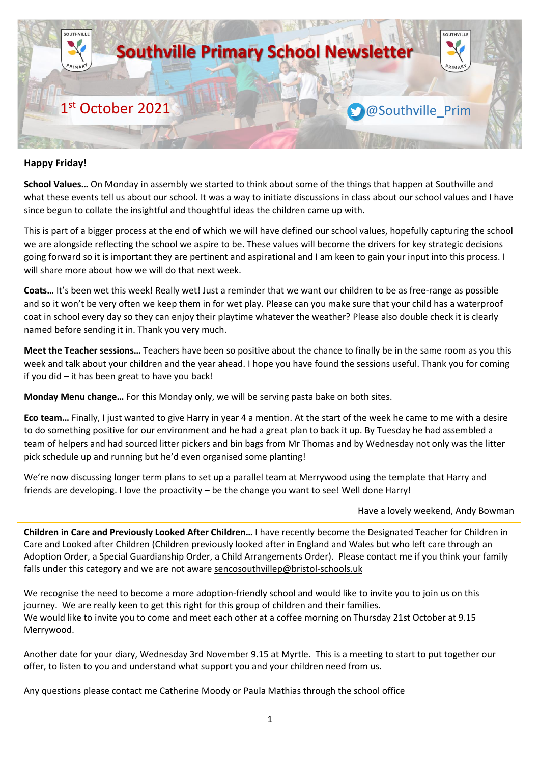

# **Happy Friday!**

**School Values…** On Monday in assembly we started to think about some of the things that happen at Southville and what these events tell us about our school. It was a way to initiate discussions in class about our school values and I have since begun to collate the insightful and thoughtful ideas the children came up with.

This is part of a bigger process at the end of which we will have defined our school values, hopefully capturing the school we are alongside reflecting the school we aspire to be. These values will become the drivers for key strategic decisions going forward so it is important they are pertinent and aspirational and I am keen to gain your input into this process. I will share more about how we will do that next week.

**Coats…** It's been wet this week! Really wet! Just a reminder that we want our children to be as free-range as possible and so it won't be very often we keep them in for wet play. Please can you make sure that your child has a waterproof coat in school every day so they can enjoy their playtime whatever the weather? Please also double check it is clearly named before sending it in. Thank you very much.

**Meet the Teacher sessions…** Teachers have been so positive about the chance to finally be in the same room as you this week and talk about your children and the year ahead. I hope you have found the sessions useful. Thank you for coming if you did – it has been great to have you back!

**Monday Menu change…** For this Monday only, we will be serving pasta bake on both sites.

**Eco team…** Finally, I just wanted to give Harry in year 4 a mention. At the start of the week he came to me with a desire to do something positive for our environment and he had a great plan to back it up. By Tuesday he had assembled a team of helpers and had sourced litter pickers and bin bags from Mr Thomas and by Wednesday not only was the litter pick schedule up and running but he'd even organised some planting!

We're now discussing longer term plans to set up a parallel team at Merrywood using the template that Harry and friends are developing. I love the proactivity – be the change you want to see! Well done Harry!

### Have a lovely weekend, Andy Bowman

**Children in Care and Previously Looked After Children…** I have recently become the Designated Teacher for Children in Care and Looked after Children (Children previously looked after in England and Wales but who left care through an Adoption Order, a Special Guardianship Order, a Child Arrangements Order). Please contact me if you think your family falls under this category and we are not aware [sencosouthvillep@bristol-schools.uk](mailto:sencosouthvillep@bristol-schools.uk)

We recognise the need to become a more adoption-friendly school and would like to invite you to join us on this journey. We are really keen to get this right for this group of children and their families. We would like to invite you to come and meet each other at a coffee morning on Thursday 21st October at 9.15 Merrywood.

Another date for your diary, Wednesday 3rd November 9.15 at Myrtle. This is a meeting to start to put together our offer, to listen to you and understand what support you and your children need from us.

Any questions please contact me Catherine Moody or Paula Mathias through the school office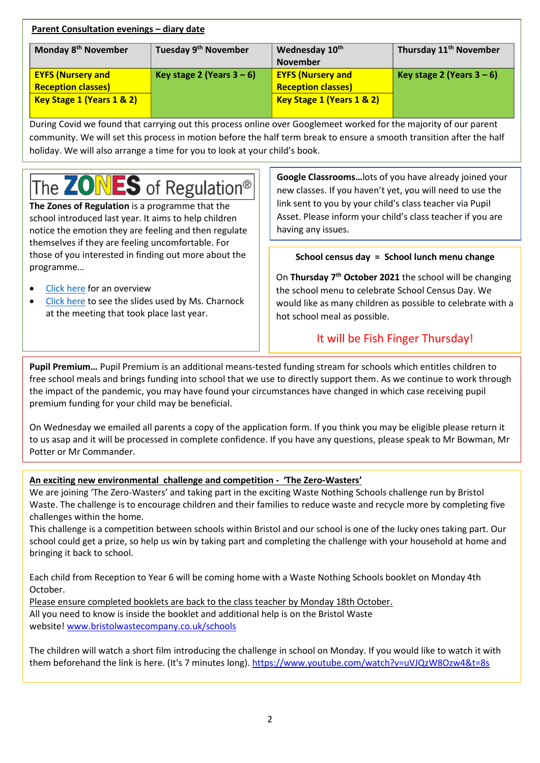| <b>Parent Consultation evenings - diary date</b> |                                  |                            |                                    |  |
|--------------------------------------------------|----------------------------------|----------------------------|------------------------------------|--|
| Monday 8 <sup>th</sup> November                  | Tuesday 9 <sup>th</sup> November | Wednesday 10 <sup>th</sup> | Thursday 11 <sup>th</sup> November |  |
|                                                  |                                  | <b>November</b>            |                                    |  |
| <b>EYFS (Nursery and</b>                         | Key stage 2 (Years $3-6$ )       | <b>EYFS (Nursery and</b>   | Key stage 2 (Years $3-6$ )         |  |
| <b>Reception classes)</b>                        |                                  | <b>Reception classes)</b>  |                                    |  |
| Key Stage 1 (Years 1 & 2)                        |                                  | Key Stage 1 (Years 1 & 2)  |                                    |  |

During Covid we found that carrying out this process online over Googlemeet worked for the majority of our parent community. We will set this process in motion before the half term break to ensure a smooth transition after the half holiday. We will also arrange a time for you to look at your child's book.

# The **ZONES** of Regulation®

**The Zones of Regulation** is a programme that the school introduced last year. It aims to help children notice the emotion they are feeling and then regulate themselves if they are feeling uncomfortable. For those of you interested in finding out more about the programme…

- [Click here](https://www.southville.bristol.sch.uk/media/1339/zones-of-regulation-parents.pdf) for an overview
- [Click here](https://www.southville.bristol.sch.uk/media/1343/zones-parents-meeting.pdf) to see the slides used by Ms. Charnock at the meeting that took place last year.

**Google Classrooms…**lots of you have already joined your new classes. If you haven't yet, you will need to use the link sent to you by your child's class teacher via Pupil Asset. Please inform your child's class teacher if you are having any issues.

# **School census day = School lunch menu change**

On **Thursday 7 th October 2021** the school will be changing the school menu to celebrate School Census Day. We would like as many children as possible to celebrate with a hot school meal as possible.

# It will be Fish Finger Thursday!

**Pupil Premium…** Pupil Premium is an additional means-tested funding stream for schools which entitles children to free school meals and brings funding into school that we use to directly support them. As we continue to work through the impact of the pandemic, you may have found your circumstances have changed in which case receiving pupil premium funding for your child may be beneficial.

On Wednesday we emailed all parents a copy of the application form. If you think you may be eligible please return it to us asap and it will be processed in complete confidence. If you have any questions, please speak to Mr Bowman, Mr Potter or Mr Commander.

# **An exciting new environmental challenge and competition - 'The Zero-Wasters'**

We are joining 'The Zero-Wasters' and taking part in the exciting Waste Nothing Schools challenge run by Bristol Waste. The challenge is to encourage children and their families to reduce waste and recycle more by completing five challenges within the home.

This challenge is a competition between schools within Bristol and our school is one of the lucky ones taking part. Our school could get a prize, so help us win by taking part and completing the challenge with your household at home and bringing it back to school.

Each child from Reception to Year 6 will be coming home with a Waste Nothing Schools booklet on Monday 4th October.

Please ensure completed booklets are back to the class teacher by Monday 18th October. All you need to know is inside the booklet and additional help is on the Bristol Waste website! [www.bristolwastecompany.co.uk/schools](http://www.bristolwastecompany.co.uk/schools)

The children will watch a short film introducing the challenge in school on Monday. If you would like to watch it with them beforehand the link is here. (It's 7 minutes long). <https://www.youtube.com/watch?v=uVJQzW8Ozw4&t=8s>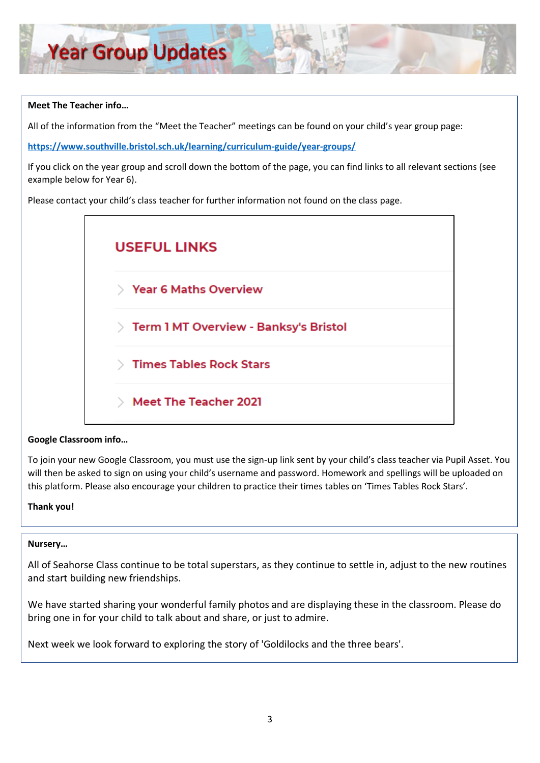# **Meet The Teacher info…**

All of the information from the "Meet the Teacher" meetings can be found on your child's year group page:

**<https://www.southville.bristol.sch.uk/learning/curriculum-guide/year-groups/>**

If you click on the year group and scroll down the bottom of the page, you can find links to all relevant sections (see example below for Year 6).

Please contact your child's class teacher for further information not found on the class page.



# **Google Classroom info…**

To join your new Google Classroom, you must use the sign-up link sent by your child's class teacher via Pupil Asset. You will then be asked to sign on using your child's username and password. Homework and spellings will be uploaded on this platform. Please also encourage your children to practice their times tables on 'Times Tables Rock Stars'.

# **Thank you!**

### **Nursery…**

All of Seahorse Class continue to be total superstars, as they continue to settle in, adjust to the new routines and start building new friendships.

We have started sharing your wonderful family photos and are displaying these in the classroom. Please do bring one in for your child to talk about and share, or just to admire.

Next week we look forward to exploring the story of 'Goldilocks and the three bears'.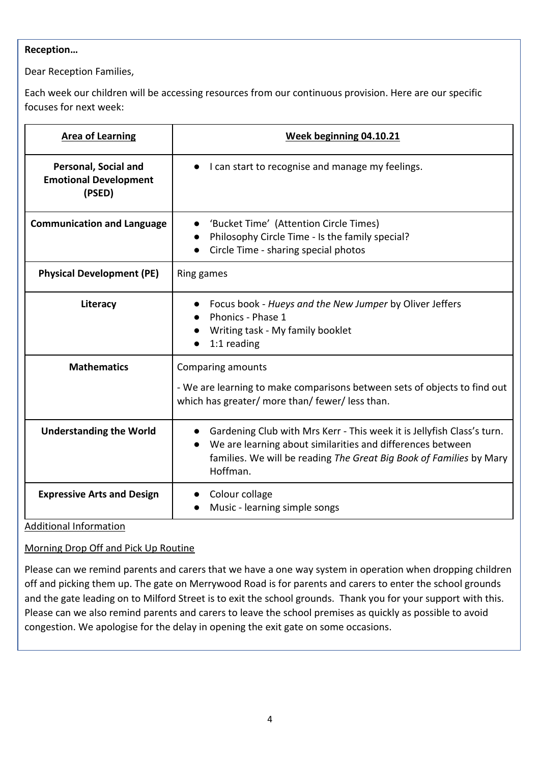# **Reception…**

Dear Reception Families,

Each week our children will be accessing resources from our continuous provision. Here are our specific focuses for next week:

| <b>Area of Learning</b>                                        | Week beginning 04.10.21                                                                                                                                                                                                 |  |
|----------------------------------------------------------------|-------------------------------------------------------------------------------------------------------------------------------------------------------------------------------------------------------------------------|--|
| Personal, Social and<br><b>Emotional Development</b><br>(PSED) | I can start to recognise and manage my feelings.                                                                                                                                                                        |  |
| <b>Communication and Language</b>                              | 'Bucket Time' (Attention Circle Times)<br>Philosophy Circle Time - Is the family special?<br>Circle Time - sharing special photos                                                                                       |  |
| <b>Physical Development (PE)</b>                               | Ring games                                                                                                                                                                                                              |  |
| Literacy                                                       | Focus book - Hueys and the New Jumper by Oliver Jeffers<br>Phonics - Phase 1<br>Writing task - My family booklet<br>$1:1$ reading                                                                                       |  |
| <b>Mathematics</b>                                             | Comparing amounts<br>- We are learning to make comparisons between sets of objects to find out<br>which has greater/ more than/ fewer/ less than.                                                                       |  |
| <b>Understanding the World</b>                                 | Gardening Club with Mrs Kerr - This week it is Jellyfish Class's turn.<br>We are learning about similarities and differences between<br>families. We will be reading The Great Big Book of Families by Mary<br>Hoffman. |  |
| <b>Expressive Arts and Design</b>                              | Colour collage<br>Music - learning simple songs                                                                                                                                                                         |  |

Additional Information

Morning Drop Off and Pick Up Routine

Please can we remind parents and carers that we have a one way system in operation when dropping children off and picking them up. The gate on Merrywood Road is for parents and carers to enter the school grounds and the gate leading on to Milford Street is to exit the school grounds. Thank you for your support with this. Please can we also remind parents and carers to leave the school premises as quickly as possible to avoid congestion. We apologise for the delay in opening the exit gate on some occasions.